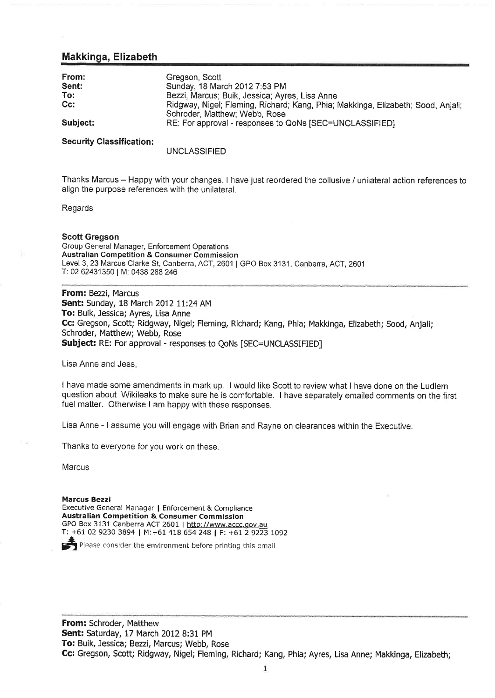## Makkinga, Elizabeth

| From:<br>Sent: | Gregson, Scott<br>Sunday, 18 March 2012 7:53 PM                                          |
|----------------|------------------------------------------------------------------------------------------|
| To:            | Bezzi, Marcus; Buik, Jessica; Ayres, Lisa Anne                                           |
| $Cc$ :         | Ridgway, Nigel; Fleming, Richard; Kang, Phia; Makkinga, Elizabeth; Sood, Anjali;         |
| Subject:       | Schroder, Matthew; Webb, Rose<br>RE: For approval - responses to QoNs [SEC=UNCLASSIFIED] |

#### **Security Classification:**

### UNCLASSIFIED

Thanks Marcus - Happy with your changes. I have just reordered the collusive / unilateral action references to align the purpose references with the unilateral.

Regards

#### Scott Gregson

Group General Manager, Enforcement Operations Australian Competition & Consurner Commission Level 3, 23 Marcus Clarke St, Canberra, ACT, 2601 | GPO Box 3131, Canberra, ACT, 2601 ï: 02 62431350 | M: 0438 288 <sup>246</sup>

From: Bezzi, Marcus Sent: Sunday, 18 March 2012 11:24 AM To: Buik, Jessica; Ayres, Lisa Anne Cc: Gregson, Scott; Ridgway, Nigel; Fleming, Richard; Kang, Phia; Makkinga, Elizabeth; Sood, Anjali; Schroder, Matthew; Webb, Rose Subject: RE: For approval - responses to QoNs [SEC=UNCLASSIFIED]

Lisa Anne and Jess,

I have made some amendments in mark up. I would like Scott to review what I have done on the Ludlem questìon about Wikileaks to make sure he is comfortable. I have separately emailed comments on the first fuel matter. Otherwise I am happy with these responses.

Lisa Anne - | assume you will engage with Brian and Rayne on clearances within the Executive.

Thanks to everyone for you work on these.

**Marcus** 

Marcus Bezzi Executive General Manager | Enforcement & Compliance Australian Competition & Consumer Commission GPO Box 3131 Canberra ACT 2601 | http://www.accc.gov.au T: +61 02 9230 3894 I M: +61 418 654 248 | F: +61 2 9223 t09Z

Please consider the environment before printing this email

From: Schroder, Matthew Sent: Saturday, 17 March 2012 B:31 PM To: Buik, Jessica; Bezzi, Marcus; Webb, Rose Cc: Gregson, Scott; Ridgway, Nigel; Fleming, Richard; Kang, Phia; Ayres, Lisa Anne; Makkinga, Elizabeth;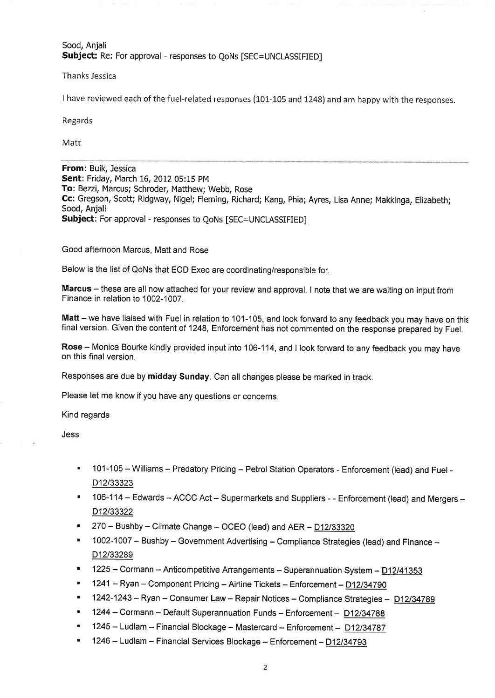# Sood, Anjali Subject: Re: For approval - responses to QoNs [SEC=UNCLASSIFIED]

Thanks Jessica

I have reviewed each of the fuel-related responses (101-105 and 1248) and am happy with the responses.

Regards

Matt

From: Buik, Jessica Sent: Friday, March 16, 2012 05:15 PM To: Bezzi, Marcus; Schroder, Matthew; Webb, Rose Cc: Gregson, Scott; Ridgway, Nigel; Fleming, Richard; Kang, Phia; Ayres, Lisa Anne; Makkinga, Elizabeth; Sood, Anjali Subject: For approval - responses to QoNs [SEC=UNCLASSIFIED]

Good afternoon Marcus, Matt and Rose

Below is the list of QoNs that ECD Exec are coordinating/responsible for.

Marcus - these are all now attached for your review and approval. I note that we are waiting on input from Finance in relation to 1002-1007.

Matt - we have liaised with Fuel in relation to 101-105, and look forward to any feedback you may have on this final version. Given the content of 1248, Enforcement has not commented on the response prepared by Fuel.

Rose - Monica Bourke kindly provided input into 106-114, and I look forward to any feedback you may have on this final version.

Responses are due by midday Sunday. Can all changes please be marked in track.

Please let me know if you have any questions or concerns.

Kind regards

Jess

- ' 101-105 Williams Predatory Pricing Petrol Station Operators Enforcement (lead) and Fuel D<sub>12</sub>/33323
- 106-114 Edwards ACCC Act Supermarkets and Suppliers - Enforcement (lead) and Mergers -D<sub>12</sub>/33322
- $270 -$  Bushby Climate Change OCEO (lead) and AER D12/33320
- 1002-1007 Bushby Government Advertising Compliance Strategies (lead) and Finance -D12/33289
- $1225 \text{Cormann} \text{Anticompetitive Arrangements} \text{Superannuation System} \frac{D12/41353}{D12/41353}$
- 1241 Ryan Component Pricing Airline Tickets Enforcement D12/34790
- 1242-1243 Ryan Consumer Law Repair Notices Compliance Strategies D12/34789
- 1244 Cormann Default Superannuation Funds Enforcement D12/34788
- $1245 -$  Ludlam Financial Blockage Mastercard Enforcement D12/34787
- 1246 Ludlam Financial Services Blockage Enforcement D12/34793